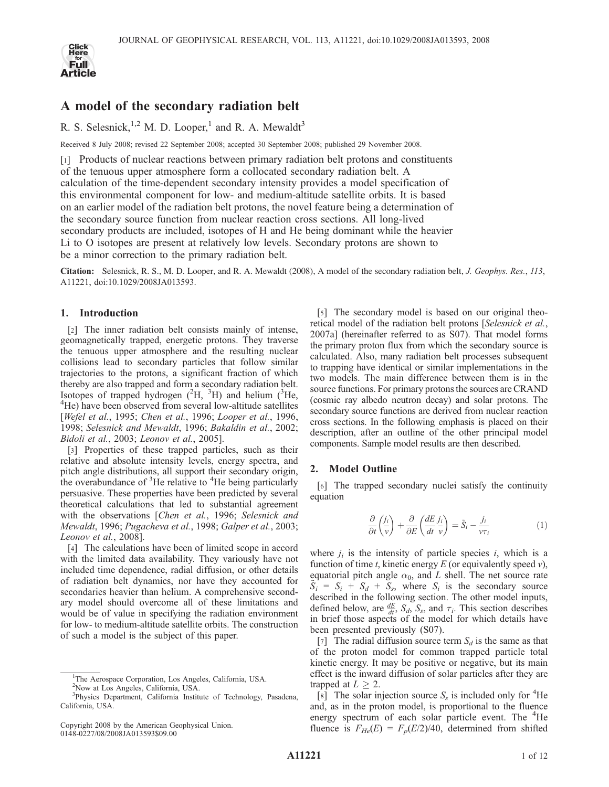

# A model of the secondary radiation belt

R. S. Selesnick, <sup>1,2</sup> M. D. Looper,<sup>1</sup> and R. A. Mewaldt<sup>3</sup>

Received 8 July 2008; revised 22 September 2008; accepted 30 September 2008; published 29 November 2008.

[1] Products of nuclear reactions between primary radiation belt protons and constituents of the tenuous upper atmosphere form a collocated secondary radiation belt. A calculation of the time-dependent secondary intensity provides a model specification of this environmental component for low- and medium-altitude satellite orbits. It is based on an earlier model of the radiation belt protons, the novel feature being a determination of the secondary source function from nuclear reaction cross sections. All long-lived secondary products are included, isotopes of H and He being dominant while the heavier Li to O isotopes are present at relatively low levels. Secondary protons are shown to be a minor correction to the primary radiation belt.

Citation: Selesnick, R. S., M. D. Looper, and R. A. Mewaldt (2008), A model of the secondary radiation belt, J. Geophys. Res., 113, A11221, doi:10.1029/2008JA013593.

# 1. Introduction

[2] The inner radiation belt consists mainly of intense, geomagnetically trapped, energetic protons. They traverse the tenuous upper atmosphere and the resulting nuclear collisions lead to secondary particles that follow similar trajectories to the protons, a significant fraction of which thereby are also trapped and form a secondary radiation belt. Isotopes of trapped hydrogen  $(^{2}H,~^{3}H)$  and helium  $(^{3}He,$ <sup>4</sup>He) have been observed from several low-altitude satellites [Wefel et al., 1995; Chen et al., 1996; Looper et al., 1996, 1998; Selesnick and Mewaldt, 1996; Bakaldin et al., 2002; Bidoli et al., 2003; Leonov et al., 2005].

[3] Properties of these trapped particles, such as their relative and absolute intensity levels, energy spectra, and pitch angle distributions, all support their secondary origin, the overabundance of  ${}^{3}$ He relative to  ${}^{4}$ He being particularly persuasive. These properties have been predicted by several theoretical calculations that led to substantial agreement with the observations [Chen et al., 1996; Selesnick and Mewaldt, 1996; Pugacheva et al., 1998; Galper et al., 2003; Leonov et al., 2008].

[4] The calculations have been of limited scope in accord with the limited data availability. They variously have not included time dependence, radial diffusion, or other details of radiation belt dynamics, nor have they accounted for secondaries heavier than helium. A comprehensive secondary model should overcome all of these limitations and would be of value in specifying the radiation environment for low- to medium-altitude satellite orbits. The construction of such a model is the subject of this paper.

[5] The secondary model is based on our original theoretical model of the radiation belt protons [Selesnick et al., 2007a] (hereinafter referred to as S07). That model forms the primary proton flux from which the secondary source is calculated. Also, many radiation belt processes subsequent to trapping have identical or similar implementations in the two models. The main difference between them is in the source functions. For primary protons the sources are CRAND (cosmic ray albedo neutron decay) and solar protons. The secondary source functions are derived from nuclear reaction cross sections. In the following emphasis is placed on their description, after an outline of the other principal model components. Sample model results are then described.

#### 2. Model Outline

[6] The trapped secondary nuclei satisfy the continuity equation

$$
\frac{\partial}{\partial t} \left( \frac{j_i}{v} \right) + \frac{\partial}{\partial E} \left( \frac{dE}{dt} \frac{j_i}{v} \right) = \tilde{S}_i - \frac{j_i}{v \tau_i}
$$
(1)

where  $j_i$  is the intensity of particle species i, which is a function of time t, kinetic energy  $E$  (or equivalently speed  $v$ ), equatorial pitch angle  $\alpha_0$ , and L shell. The net source rate  $S_i = S_i + S_d + S_s$ , where  $S_i$  is the secondary source described in the following section. The other model inputs, defined below, are  $\frac{dE}{dt}$ ,  $S_d$ ,  $S_s$ , and  $\tau_i$ . This section describes in brief those aspects of the model for which details have been presented previously (S07).

[7] The radial diffusion source term  $S_d$  is the same as that of the proton model for common trapped particle total kinetic energy. It may be positive or negative, but its main effect is the inward diffusion of solar particles after they are trapped at  $L > 2$ .

 $[s]$  The solar injection source  $S_s$  is included only for <sup>4</sup>He and, as in the proton model, is proportional to the fluence energy spectrum of each solar particle event. The <sup>4</sup>He fluence is  $F_{He}(E) = F_p(E/2)/40$ , determined from shifted

<sup>&</sup>lt;sup>1</sup>The Aerospace Corporation, Los Angeles, California, USA. 2 Now at Los Angeles, California, USA.

<sup>&</sup>lt;sup>3</sup>Physics Department, California Institute of Technology, Pasadena, California, USA.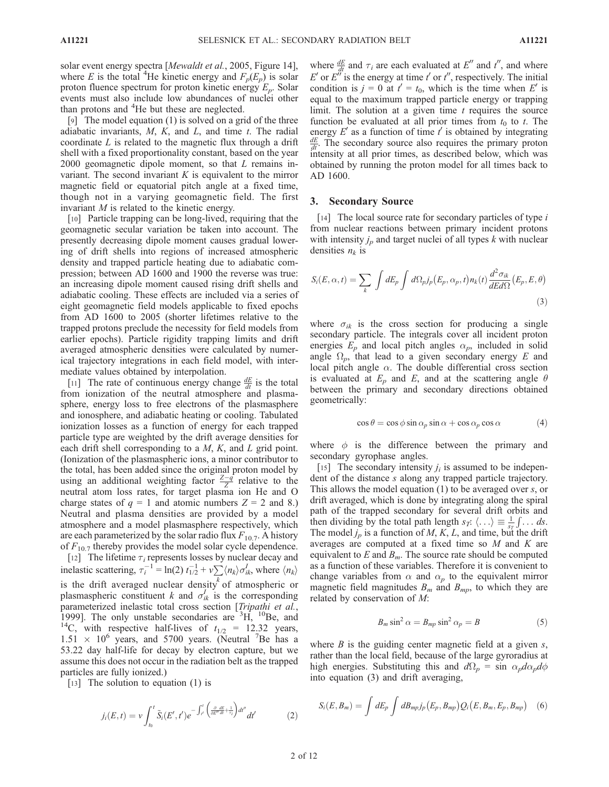solar event energy spectra [Mewaldt et al., 2005, Figure 14], where E is the total <sup>4</sup>He kinetic energy and  $F_p(E_p)$  is solar proton fluence spectrum for proton kinetic energy  $E_p$ . Solar events must also include low abundances of nuclei other than protons and <sup>4</sup>He but these are neglected.

[9] The model equation (1) is solved on a grid of the three adiabatic invariants,  $M$ ,  $K$ , and  $L$ , and time  $t$ . The radial coordinate  $L$  is related to the magnetic flux through a drift shell with a fixed proportionality constant, based on the year  $2000$  geomagnetic dipole moment, so that  $L$  remains invariant. The second invariant  $K$  is equivalent to the mirror magnetic field or equatorial pitch angle at a fixed time, though not in a varying geomagnetic field. The first invariant M is related to the kinetic energy.

[10] Particle trapping can be long-lived, requiring that the geomagnetic secular variation be taken into account. The presently decreasing dipole moment causes gradual lowering of drift shells into regions of increased atmospheric density and trapped particle heating due to adiabatic compression; between AD 1600 and 1900 the reverse was true: an increasing dipole moment caused rising drift shells and adiabatic cooling. These effects are included via a series of eight geomagnetic field models applicable to fixed epochs from AD 1600 to 2005 (shorter lifetimes relative to the trapped protons preclude the necessity for field models from earlier epochs). Particle rigidity trapping limits and drift averaged atmospheric densities were calculated by numerical trajectory integrations in each field model, with intermediate values obtained by interpolation.

[11] The rate of continuous energy change  $\frac{dE}{dt}$  is the total from ionization of the neutral atmosphere and plasmasphere, energy loss to free electrons of the plasmasphere and ionosphere, and adiabatic heating or cooling. Tabulated ionization losses as a function of energy for each trapped particle type are weighted by the drift average densities for each drift shell corresponding to a  $M$ ,  $K$ , and  $L$  grid point. (Ionization of the plasmaspheric ions, a minor contributor to the total, has been added since the original proton model by using an additional weighting factor  $\frac{Z-q}{Z}$  relative to the neutral atom loss rates, for target plasma ion He and O charge states of  $q = 1$  and atomic numbers  $Z = 2$  and 8.) Neutral and plasma densities are provided by a model atmosphere and a model plasmasphere respectively, which are each parameterized by the solar radio flux  $F_{10.7}$ . A history of  $F_{10.7}$  thereby provides the model solar cycle dependence. [12] The lifetime  $\tau_i$  represents losses by nuclear decay and inelastic scattering,  $\tau_i^{-1} = \ln(2) t_{1/2}^{-1} + v \sum \langle n_k \rangle \sigma_{ik}^T$ , where  $\langle n_k \rangle$ is the drift averaged nuclear density of atmospheric or plasmaspheric constituent k and  $\sigma_{ik}^I$  is the corresponding parameterized inelastic total cross section [Tripathi et al., 1999]. The only unstable secondaries are  $3\text{H}$ ,  $10\text{Be}$ , and <sup>14</sup>C, with respective half-lives of  $t_{1/2}$  = 12.32 years,  $1.51 \times 10^6$  years, and 5700 years. (Neutral <sup>7</sup>Be has a 53.22 day half-life for decay by electron capture, but we assume this does not occur in the radiation belt as the trapped particles are fully ionized.)

[13] The solution to equation (1) is

$$
j_i(E, t) = v \int_{t_0}^t \tilde{S}_i(E', t') e^{-\int_{t'}^t \left(\frac{\partial dE}{\partial E'' dt} + \frac{1}{\tau_i}\right) dt''} dt' \tag{2}
$$

where  $\frac{dE}{dt}$  and  $\tau_i$  are each evaluated at  $E''$  and  $t''$ , and where E' or  $E^{\prime\prime}$  is the energy at time t' or t'', respectively. The initial condition is  $j = 0$  at  $t' = t_0$ , which is the time when E' is equal to the maximum trapped particle energy or trapping limit. The solution at a given time  $t$  requires the source function be evaluated at all prior times from  $t_0$  to t. The energy  $E'$  as a function of time  $t'$  is obtained by integrating  $\frac{dE}{dt}$ . The secondary source also requires the primary proton intensity at all prior times, as described below, which was obtained by running the proton model for all times back to AD 1600.

#### 3. Secondary Source

[14] The local source rate for secondary particles of type  $i$ from nuclear reactions between primary incident protons with intensity  $j_p$  and target nuclei of all types k with nuclear densities  $n_k$  is

$$
S_i(E, \alpha, t) = \sum_{k} \int dE_p \int d\Omega_{p} j_p(E_p, \alpha_p, t) n_k(t) \frac{d^2 \sigma_{ik}}{dEd\Omega} (E_p, E, \theta)
$$
\n(3)

where  $\sigma_{ik}$  is the cross section for producing a single secondary particle. The integrals cover all incident proton energies  $E_p$  and local pitch angles  $\alpha_p$ , included in solid angle  $\Omega_p$ , that lead to a given secondary energy E and local pitch angle  $\alpha$ . The double differential cross section is evaluated at  $E_p$  and  $E$ , and at the scattering angle  $\theta$ between the primary and secondary directions obtained geometrically:

$$
\cos \theta = \cos \phi \sin \alpha_p \sin \alpha + \cos \alpha_p \cos \alpha \tag{4}
$$

where  $\phi$  is the difference between the primary and secondary gyrophase angles.

[15] The secondary intensity  $j_i$  is assumed to be independent of the distance s along any trapped particle trajectory. This allows the model equation  $(1)$  to be averaged over s, or drift averaged, which is done by integrating along the spiral path of the trapped secondary for several drift orbits and then dividing by the total path length  $s_T$ :  $\langle \ldots \rangle \equiv \frac{1}{s_T}$  $\int \ldots ds$ . The model  $j_p$  is a function of M, K, L, and time, but the drift averages are computed at a fixed time so  $M$  and  $K$  are equivalent to E and  $B<sub>m</sub>$ . The source rate should be computed as a function of these variables. Therefore it is convenient to change variables from  $\alpha$  and  $\alpha_p$  to the equivalent mirror magnetic field magnitudes  $B_m$  and  $B_{mp}$ , to which they are related by conservation of M:

$$
B_m \sin^2 \alpha = B_{mp} \sin^2 \alpha_p = B \tag{5}
$$

where  $B$  is the guiding center magnetic field at a given  $s$ , rather than the local field, because of the large gyroradius at high energies. Substituting this and  $d\Omega_p = \sin \alpha_p d\alpha_p d\phi$ into equation (3) and drift averaging,

$$
S_i(E, B_m) = \int dE_p \int dB_{mp} j_p(E_p, B_{mp}) Q_i(E, B_m, E_p, B_{mp}) \quad (6)
$$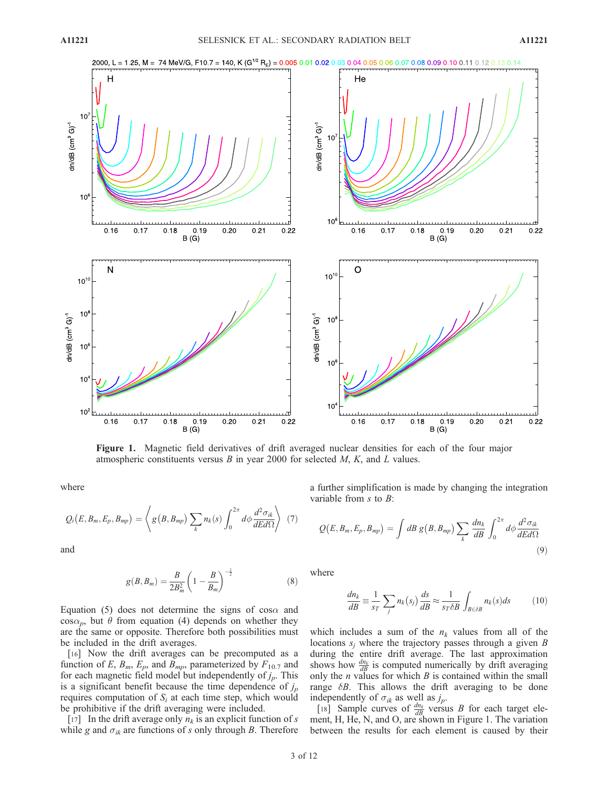

Figure 1. Magnetic field derivatives of drift averaged nuclear densities for each of the four major atmospheric constituents versus  $B$  in year 2000 for selected  $M$ ,  $K$ , and  $L$  values.

where

$$
Q_i(E, B_m, E_p, B_{mp}) = \left\langle g(B, B_{mp}) \sum_k n_k(s) \int_0^{2\pi} d\phi \frac{d^2 \sigma_{ik}}{dEd\Omega} \right\rangle \tag{7}
$$

and

$$
g(B, B_m) = \frac{B}{2B_m^2} \left(1 - \frac{B}{B_m}\right)^{-\frac{1}{2}}
$$
 (8)

Equation (5) does not determine the signs of cos $\alpha$  and  $\cos \alpha_p$ , but  $\theta$  from equation (4) depends on whether they are the same or opposite. Therefore both possibilities must be included in the drift averages.

[16] Now the drift averages can be precomputed as a function of E,  $B_m$ ,  $E_p$ , and  $B_{mp}$ , parameterized by  $F_{10.7}$  and for each magnetic field model but independently of  $j_p$ . This is a significant benefit because the time dependence of  $j_p$ requires computation of  $S_i$  at each time step, which would be prohibitive if the drift averaging were included.

[17] In the drift average only  $n_k$  is an explicit function of s while g and  $\sigma_{ik}$  are functions of s only through B. Therefore a further simplification is made by changing the integration variable from  $s$  to  $B$ :

$$
Q(E, B_m, E_p, B_{mp}) = \int dB g(B, B_{mp}) \sum_k \frac{dn_k}{dB} \int_0^{2\pi} d\phi \frac{d^2 \sigma_{ik}}{dEd\Omega}
$$
\n(9)

where

$$
\frac{dn_k}{dB} \equiv \frac{1}{s_T} \sum_j n_k(s_j) \frac{ds}{dB} \approx \frac{1}{s_T \delta B} \int_{B \in \delta B} n_k(s) ds \tag{10}
$$

which includes a sum of the  $n_k$  values from all of the locations  $s_i$  where the trajectory passes through a given B during the entire drift average. The last approximation shows how  $\frac{dn_k}{dB}$  is computed numerically by drift averaging only the  $n$  values for which  $B$  is contained within the small range  $\delta B$ . This allows the drift averaging to be done independently of  $\sigma_{ik}$  as well as  $j_p$ .

[18] Sample curves of  $\frac{dn_k}{dB}$  versus B for each target element, H, He, N, and O, are shown in Figure 1. The variation between the results for each element is caused by their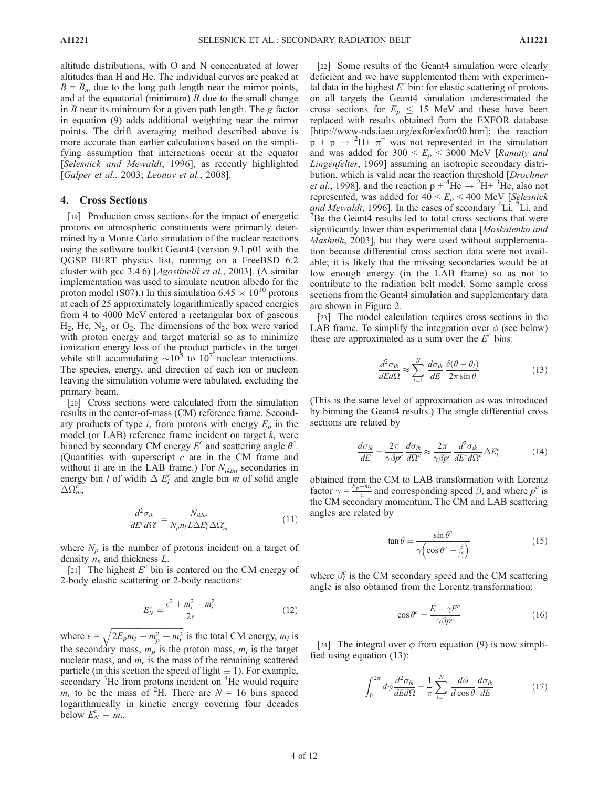altitude distributions, with O and N concentrated at lower altitudes than H and He. The individual curves are peaked at  $B = B_m$  due to the long path length near the mirror points, and at the equatorial (minimum)  $B$  due to the small change in  $B$  near its minimum for a given path length. The  $g$  factor in equation (9) adds additional weighting near the mirror points. The drift averaging method described above is more accurate than earlier calculations based on the simplifying assumption that interactions occur at the equator [Selesnick and Mewaldt, 1996], as recently highlighted [Galper et al., 2003; Leonov et al., 2008].

### 4. Cross Sections

[19] Production cross sections for the impact of energetic protons on atmospheric constituents were primarily determined by a Monte Carlo simulation of the nuclear reactions using the software toolkit Geant4 (version 9.1.p01 with the QGSP\_BERT physics list, running on a FreeBSD 6.2 cluster with gcc 3.4.6) [Agostinelli et al., 2003]. (A similar implementation was used to simulate neutron albedo for the proton model (S07).) In this simulation 6.45  $\times$  10<sup>10</sup> protons at each of 25 approximately logarithmically spaced energies from 4 to 4000 MeV entered a rectangular box of gaseous  $H_2$ , He, N<sub>2</sub>, or  $O_2$ . The dimensions of the box were varied with proton energy and target material so as to minimize ionization energy loss of the product particles in the target while still accumulating  $\sim 10^5$  to 10<sup>7</sup> nuclear interactions. The species, energy, and direction of each ion or nucleon leaving the simulation volume were tabulated, excluding the primary beam.

[20] Cross sections were calculated from the simulation results in the center-of-mass (CM) reference frame. Secondary products of type i, from protons with energy  $E_p$  in the model (or LAB) reference frame incident on target  $k$ , were binned by secondary CM energy  $E^c$  and scattering angle  $\theta^c$ . (Quantities with superscript  $c$  are in the CM frame and without it are in the LAB frame.) For  $N_{iklm}$  secondaries in energy bin l of width  $\Delta E_l^c$  and angle bin m of solid angle  $\Delta \Omega_m^{\vec{c}}$ 

$$
\frac{d^2 \sigma_{ik}}{dE^c d\Omega^c} = \frac{N_{iklm}}{N_p n_k L \Delta E_l^c \Delta \Omega_m^c}
$$
(11)

where  $N_p$  is the number of protons incident on a target of density  $n_k$  and thickness L.

[21] The highest  $E^c$  bin is centered on the CM energy of 2-body elastic scattering or 2-body reactions:

$$
E_N^c = \frac{\epsilon^2 + m_i^2 - m_r^2}{2\epsilon} \tag{12}
$$

where  $\epsilon$  =  $2E_p m_t + m_p^2 + m_t^2$  $\overline{1}$ is the total CM energy,  $m_i$  is the secondary mass,  $m_p$  is the proton mass,  $m_t$  is the target nuclear mass, and  $m_r$  is the mass of the remaining scattered particle (in this section the speed of light  $\equiv$  1). For example, secondary <sup>3</sup>He from protons incident on <sup>4</sup>He would require  $m_r$  to be the mass of <sup>2</sup>H. There are  $N = 16$  bins spaced logarithmically in kinetic energy covering four decades below  $E_N^c - m_i$ .

[22] Some results of the Geant4 simulation were clearly deficient and we have supplemented them with experimental data in the highest  $E^c$  bin: for elastic scattering of protons on all targets the Geant4 simulation underestimated the cross sections for  $E_p \leq 15$  MeV and these have been replaced with results obtained from the EXFOR database [http://www-nds.iaea.org/exfor/exfor00.htm]; the reaction  $p + p \rightarrow {}^{2}H + \pi^{+}$  was not represented in the simulation and was added for  $300 < E_p < 3000$  MeV [Ramaty and Lingenfelter, 1969] assuming an isotropic secondary distribution, which is valid near the reaction threshold [*Drochner et al.*, 1998], and the reaction  $p + {}^{4}He \rightarrow {}^{2}H + {}^{3}He$ , also not represented, was added for  $40 < E_p < 400$  MeV [Selesnick] and Mewaldt, 1996]. In the cases of secondary <sup>6</sup>Li, <sup>7</sup>Li, and <sup>7</sup>Be the Geant4 results led to total cross sections that were  $B$ Be the Geant4 results led to total cross sections that were significantly lower than experimental data [Moskalenko and Mashnik, 2003], but they were used without supplementation because differential cross section data were not available; it is likely that the missing secondaries would be at low enough energy (in the LAB frame) so as not to contribute to the radiation belt model. Some sample cross sections from the Geant4 simulation and supplementary data are shown in Figure 2.

[23] The model calculation requires cross sections in the LAB frame. To simplify the integration over  $\phi$  (see below) these are approximated as a sum over the  $E<sup>c</sup>$  bins:

$$
\frac{d^2\sigma_{ik}}{dEd\Omega} \approx \sum_{l=1}^{N} \frac{d\sigma_{ik}}{dE} \frac{\delta(\theta - \theta_l)}{2\pi \sin \theta}
$$
(13)

(This is the same level of approximation as was introduced by binning the Geant4 results.) The single differential cross sections are related by

$$
\frac{d\sigma_{ik}}{dE} = \frac{2\pi}{\gamma\beta p^c} \frac{d\sigma_{ik}}{d\Omega^c} \approx \frac{2\pi}{\gamma\beta p^c} \frac{d^2\sigma_{ik}}{dE^c d\Omega^c} \Delta E_l^c \tag{14}
$$

obtained from the CM to LAB transformation with Lorentz factor  $\gamma = \frac{E_p + m_t}{\epsilon}$  and corresponding speed  $\beta$ , and where  $p^c$  is the CM secondary momentum. The CM and LAB scattering angles are related by

$$
\tan \theta = \frac{\sin \theta^c}{\gamma \left(\cos \theta^c + \frac{\beta}{\beta_i^c}\right)}\tag{15}
$$

where  $\beta_i^c$  is the CM secondary speed and the CM scattering angle is also obtained from the Lorentz transformation:

$$
\cos \theta^c = \frac{E - \gamma E^c}{\gamma \beta p^c} \tag{16}
$$

[24] The integral over  $\phi$  from equation (9) is now simplified using equation (13):

$$
\int_0^{2\pi} d\phi \frac{d^2 \sigma_{ik}}{dEd\Omega} = \frac{1}{\pi} \sum_{l=1}^N \frac{d\phi}{d\cos\theta} \frac{d\sigma_{ik}}{dE}
$$
(17)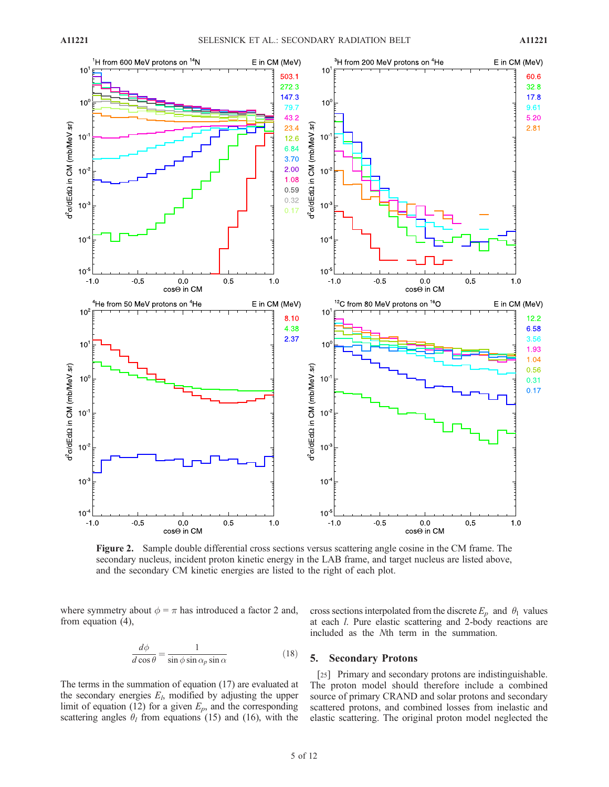

Figure 2. Sample double differential cross sections versus scattering angle cosine in the CM frame. The secondary nucleus, incident proton kinetic energy in the LAB frame, and target nucleus are listed above, and the secondary CM kinetic energies are listed to the right of each plot.

where symmetry about  $\phi = \pi$  has introduced a factor 2 and, from equation (4),

$$
\frac{d\phi}{d\cos\theta} = \frac{1}{\sin\phi\sin\alpha_p\sin\alpha} \tag{18}
$$

The terms in the summation of equation (17) are evaluated at the secondary energies  $E_l$ , modified by adjusting the upper limit of equation (12) for a given  $E_p$ , and the corresponding scattering angles  $\theta_l$  from equations (15) and (16), with the

cross sections interpolated from the discrete  $E_p$  and  $\theta_1$  values at each l. Pure elastic scattering and 2-body reactions are included as the Nth term in the summation.

#### 5. Secondary Protons

[25] Primary and secondary protons are indistinguishable. The proton model should therefore include a combined source of primary CRAND and solar protons and secondary scattered protons, and combined losses from inelastic and elastic scattering. The original proton model neglected the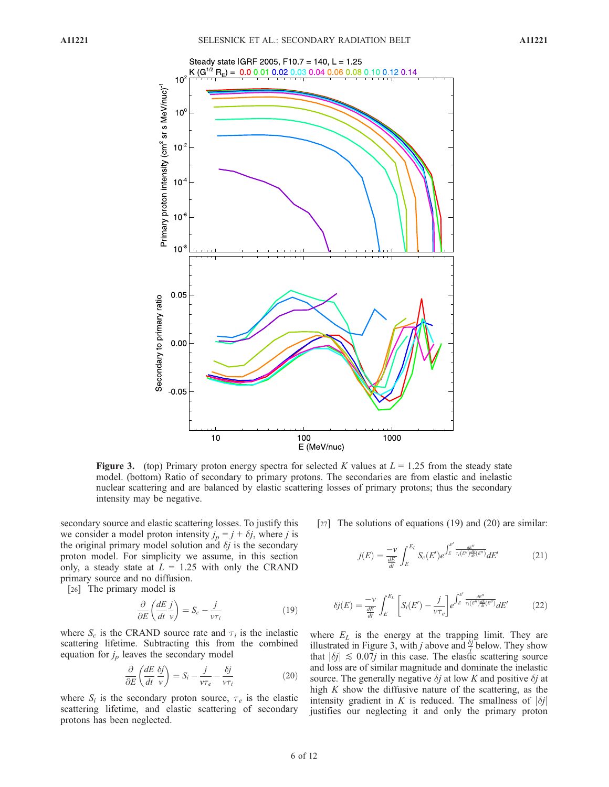

**Figure 3.** (top) Primary proton energy spectra for selected K values at  $L = 1.25$  from the steady state model. (bottom) Ratio of secondary to primary protons. The secondaries are from elastic and inelastic nuclear scattering and are balanced by elastic scattering losses of primary protons; thus the secondary intensity may be negative.

secondary source and elastic scattering losses. To justify this we consider a model proton intensity  $j_p = j + \delta j$ , where j is the original primary model solution and  $\delta j$  is the secondary proton model. For simplicity we assume, in this section only, a steady state at  $L = 1.25$  with only the CRAND primary source and no diffusion.

[26] The primary model is

$$
\frac{\partial}{\partial E} \left( \frac{dE}{dt} \frac{j}{v} \right) = S_c - \frac{j}{v \tau_i} \tag{19}
$$

where  $S_c$  is the CRAND source rate and  $\tau_i$  is the inelastic scattering lifetime. Subtracting this from the combined equation for  $j_p$  leaves the secondary model

$$
\frac{\partial}{\partial E} \left( \frac{dE}{dt} \frac{\delta j}{v} \right) = S_i - \frac{j}{v\tau_e} - \frac{\delta j}{v\tau_i}
$$
 (20)

where  $S_i$  is the secondary proton source,  $\tau_e$  is the elastic scattering lifetime, and elastic scattering of secondary protons has been neglected.

[27] The solutions of equations (19) and (20) are similar:

$$
j(E) = \frac{-\nu}{\frac{dE}{dt}} \int_{E}^{E_L} S_c(E') e^{\int_{E}^{E'} \frac{dE''}{\tau_i(E'')\frac{dE}{dt}(E'')}} dE'
$$
(21)

$$
\delta j(E) = \frac{-\nu}{\frac{dE}{dt}} \int_{E}^{E_L} \left[ S_i(E') - \frac{j}{\nu \tau_e} \right] e^{\int_{E}^{E'} \frac{dE''}{\tau_i(E'') \frac{dE}{dt}(E'')}} dE'
$$
(22)

where  $E_L$  is the energy at the trapping limit. They are illustrated in Figure 3, with *j* above and  $\frac{\delta j}{l}$  below. They show that  $|\delta j| \lesssim 0.07j$  in this case. The elastic scattering source and loss are of similar magnitude and dominate the inelastic source. The generally negative  $\delta j$  at low K and positive  $\delta j$  at high  $K$  show the diffusive nature of the scattering, as the intensity gradient in K is reduced. The smallness of  $|\delta j|$ justifies our neglecting it and only the primary proton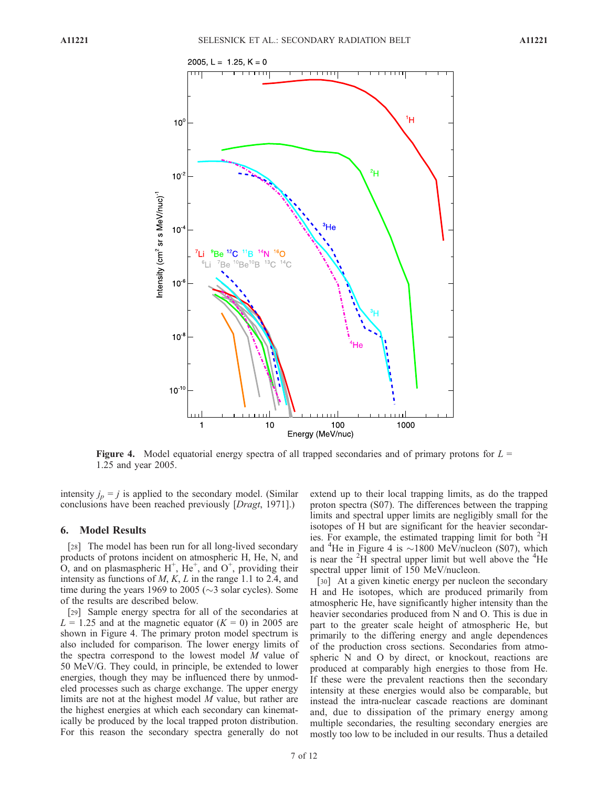

**Figure 4.** Model equatorial energy spectra of all trapped secondaries and of primary protons for  $L =$ 1.25 and year 2005.

intensity  $j_p = j$  is applied to the secondary model. (Similar conclusions have been reached previously [Dragt, 1971].)

## 6. Model Results

[28] The model has been run for all long-lived secondary products of protons incident on atmospheric H, He, N, and  $\overline{O}$ , and on plasmaspheric H<sup>+</sup>, He<sup>+</sup>, and  $O^+$ , providing their intensity as functions of  $M$ ,  $K$ ,  $L$  in the range 1.1 to 2.4, and time during the years 1969 to 2005 ( $\sim$ 3 solar cycles). Some of the results are described below.

[29] Sample energy spectra for all of the secondaries at  $L = 1.25$  and at the magnetic equator  $(K = 0)$  in 2005 are shown in Figure 4. The primary proton model spectrum is also included for comparison. The lower energy limits of the spectra correspond to the lowest model M value of 50 MeV/G. They could, in principle, be extended to lower energies, though they may be influenced there by unmodeled processes such as charge exchange. The upper energy limits are not at the highest model M value, but rather are the highest energies at which each secondary can kinematically be produced by the local trapped proton distribution. For this reason the secondary spectra generally do not

extend up to their local trapping limits, as do the trapped proton spectra (S07). The differences between the trapping limits and spectral upper limits are negligibly small for the isotopes of H but are significant for the heavier secondaries. For example, the estimated trapping limit for both  ${}^{2}$ H and <sup>4</sup>He in Figure 4 is  $\sim$ 1800 MeV/nucleon (S07), which is near the  ${}^{2}H$  spectral upper limit but well above the  ${}^{4}He$ spectral upper limit of 150 MeV/nucleon.

[30] At a given kinetic energy per nucleon the secondary H and He isotopes, which are produced primarily from atmospheric He, have significantly higher intensity than the heavier secondaries produced from N and O. This is due in part to the greater scale height of atmospheric He, but primarily to the differing energy and angle dependences of the production cross sections. Secondaries from atmospheric N and O by direct, or knockout, reactions are produced at comparably high energies to those from He. If these were the prevalent reactions then the secondary intensity at these energies would also be comparable, but instead the intra-nuclear cascade reactions are dominant and, due to dissipation of the primary energy among multiple secondaries, the resulting secondary energies are mostly too low to be included in our results. Thus a detailed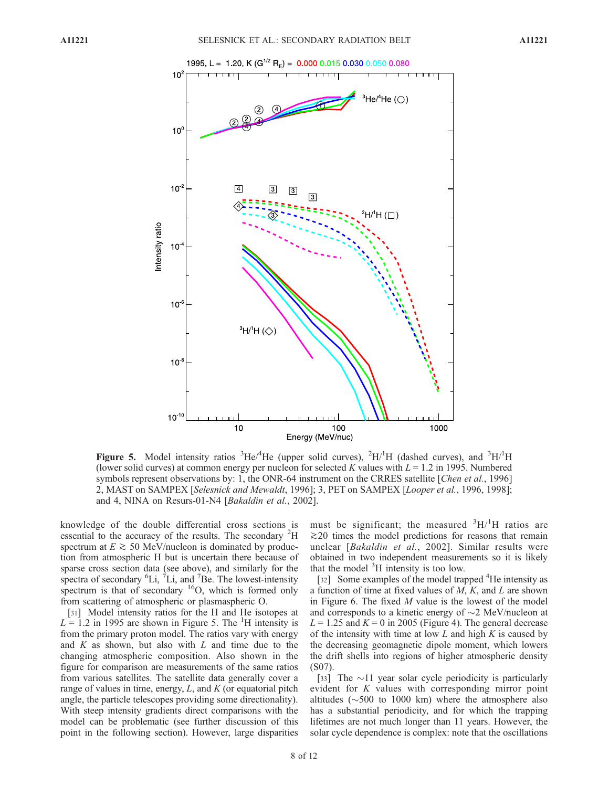

Figure 5. Model intensity ratios  ${}^{3}$ He/<sup>4</sup>He (upper solid curves),  ${}^{2}$ H/<sup>1</sup>H (dashed curves), and  ${}^{3}$ H/<sup>1</sup>H (lower solid curves) at common energy per nucleon for selected K values with  $L = 1.2$  in 1995. Numbered symbols represent observations by: 1, the ONR-64 instrument on the CRRES satellite [Chen et al., 1996] 2, MAST on SAMPEX [Selesnick and Mewaldt, 1996]; 3, PET on SAMPEX [Looper et al., 1996, 1998]; and 4, NINA on Resurs-01-N4 [Bakaldin et al., 2002].

knowledge of the double differential cross sections is essential to the accuracy of the results. The secondary <sup>2</sup>H spectrum at  $E \ge 50$  MeV/nucleon is dominated by production from atmospheric H but is uncertain there because of sparse cross section data (see above), and similarly for the spectra of secondary  ${}^{6}$ Li,  ${}^{7}$ Li, and  ${}^{7}$ Be. The lowest-intensity spectrum is that of secondary  $16O$ , which is formed only from scattering of atmospheric or plasmaspheric O.

[31] Model intensity ratios for the H and He isotopes at  $L = 1.2$  in 1995 are shown in Figure 5. The <sup>1</sup>H intensity is from the primary proton model. The ratios vary with energy and  $K$  as shown, but also with  $L$  and time due to the changing atmospheric composition. Also shown in the figure for comparison are measurements of the same ratios from various satellites. The satellite data generally cover a range of values in time, energy,  $L$ , and  $K$  (or equatorial pitch angle, the particle telescopes providing some directionality). With steep intensity gradients direct comparisons with the model can be problematic (see further discussion of this point in the following section). However, large disparities

must be significant; the measured  ${}^{3}H/{}^{1}H$  ratios are  $\gtrsim$  20 times the model predictions for reasons that remain unclear [Bakaldin et al., 2002]. Similar results were obtained in two independent measurements so it is likely that the model <sup>3</sup>H intensity is too low.

[32] Some examples of the model trapped <sup>4</sup>He intensity as a function of time at fixed values of  $M$ ,  $K$ , and  $L$  are shown in Figure 6. The fixed  $M$  value is the lowest of the model and corresponds to a kinetic energy of  $\sim$ 2 MeV/nucleon at  $L = 1.25$  and  $K = 0$  in 2005 (Figure 4). The general decrease of the intensity with time at low  $L$  and high  $K$  is caused by the decreasing geomagnetic dipole moment, which lowers the drift shells into regions of higher atmospheric density (S07).

[33] The  $\sim$ 11 year solar cycle periodicity is particularly evident for K values with corresponding mirror point altitudes ( $\sim$ 500 to 1000 km) where the atmosphere also has a substantial periodicity, and for which the trapping lifetimes are not much longer than 11 years. However, the solar cycle dependence is complex: note that the oscillations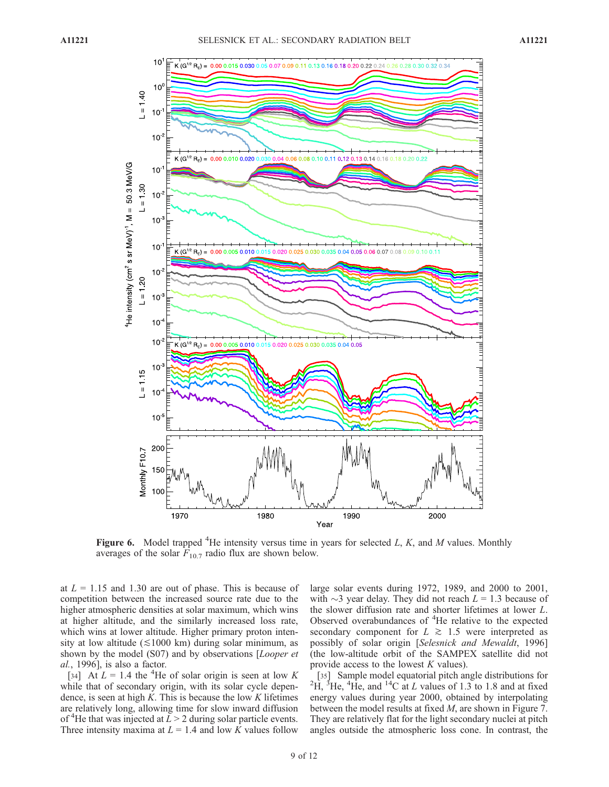

Figure 6. Model trapped <sup>4</sup>He intensity versus time in years for selected  $L, K$ , and  $M$  values. Monthly averages of the solar  $F_{10.7}$  radio flux are shown below.

at  $L = 1.15$  and 1.30 are out of phase. This is because of competition between the increased source rate due to the higher atmospheric densities at solar maximum, which wins at higher altitude, and the similarly increased loss rate, which wins at lower altitude. Higher primary proton intensity at low altitude  $(\leq 1000 \text{ km})$  during solar minimum, as shown by the model (S07) and by observations [Looper et al., 1996], is also a factor.

[34] At  $L = 1.4$  the <sup>4</sup>He of solar origin is seen at low K while that of secondary origin, with its solar cycle dependence, is seen at high  $K$ . This is because the low  $K$  lifetimes are relatively long, allowing time for slow inward diffusion of <sup>4</sup>He that was injected at  $\overline{L} > 2$  during solar particle events. Three intensity maxima at  $L = 1.4$  and low K values follow large solar events during 1972, 1989, and 2000 to 2001, with  $\sim$ 3 year delay. They did not reach  $L = 1.3$  because of the slower diffusion rate and shorter lifetimes at lower L. Observed overabundances of <sup>4</sup>He relative to the expected secondary component for  $L \ge 1.5$  were interpreted as possibly of solar origin [Selesnick and Mewaldt, 1996] (the low-altitude orbit of the SAMPEX satellite did not provide access to the lowest  $K$  values).

[35] Sample model equatorial pitch angle distributions for  $\overline{H}$ , <sup>3</sup>He, <sup>4</sup>He, and <sup>14</sup>C at *L* values of 1.3 to 1.8 and at fixed energy values during year 2000, obtained by interpolating between the model results at fixed M, are shown in Figure 7. They are relatively flat for the light secondary nuclei at pitch angles outside the atmospheric loss cone. In contrast, the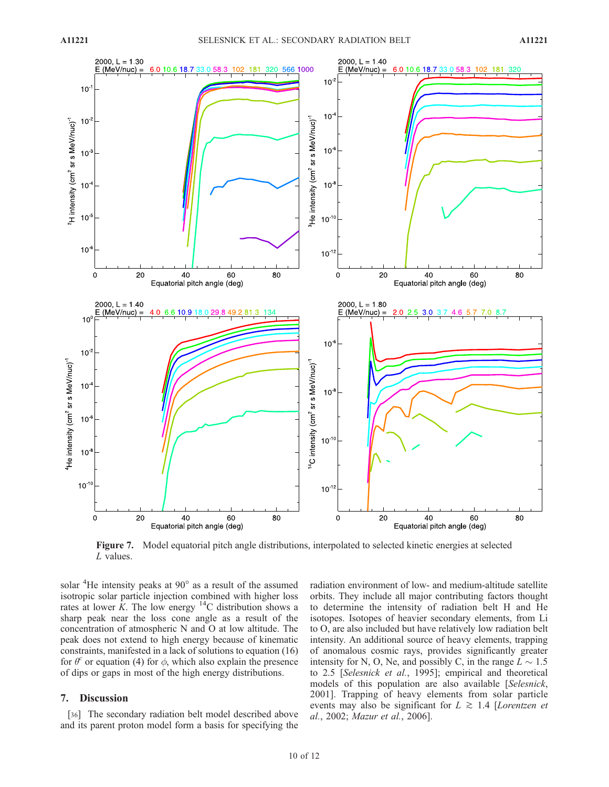

Figure 7. Model equatorial pitch angle distributions, interpolated to selected kinetic energies at selected  $L$  values.

solar <sup>4</sup>He intensity peaks at 90° as a result of the assumed isotropic solar particle injection combined with higher loss rates at lower  $K$ . The low energy <sup>14</sup>C distribution shows a sharp peak near the loss cone angle as a result of the concentration of atmospheric N and O at low altitude. The peak does not extend to high energy because of kinematic constraints, manifested in a lack of solutions to equation (16) for  $\theta^c$  or equation (4) for  $\phi$ , which also explain the presence of dips or gaps in most of the high energy distributions.

#### 7. Discussion

[36] The secondary radiation belt model described above and its parent proton model form a basis for specifying the radiation environment of low- and medium-altitude satellite orbits. They include all major contributing factors thought to determine the intensity of radiation belt H and He isotopes. Isotopes of heavier secondary elements, from Li to O, are also included but have relatively low radiation belt intensity. An additional source of heavy elements, trapping of anomalous cosmic rays, provides significantly greater intensity for N, O, Ne, and possibly C, in the range  $L \sim 1.5$ to 2.5 [Selesnick et al., 1995]; empirical and theoretical models of this population are also available [Selesnick, 2001]. Trapping of heavy elements from solar particle events may also be significant for  $L \ge 1.4$  [Lorentzen et al., 2002; Mazur et al., 2006].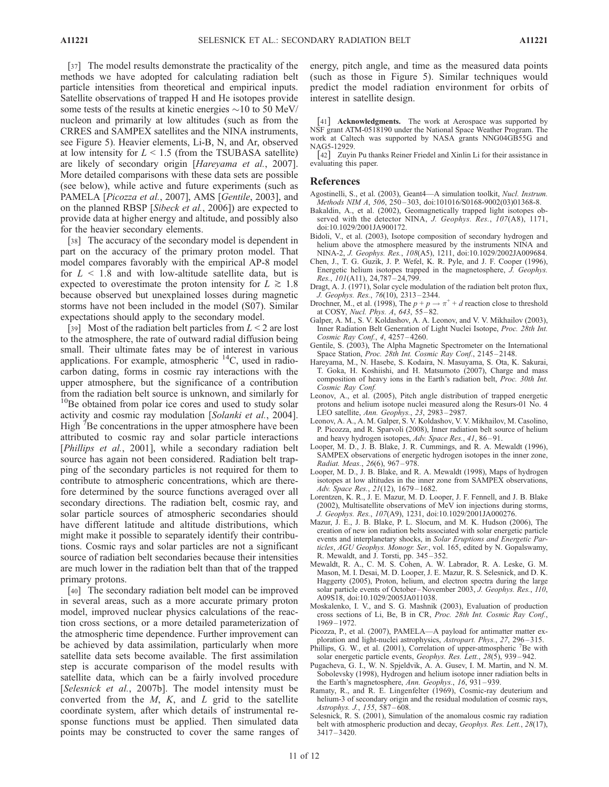[37] The model results demonstrate the practicality of the methods we have adopted for calculating radiation belt particle intensities from theoretical and empirical inputs. Satellite observations of trapped H and He isotopes provide some tests of the results at kinetic energies  $\sim$ 10 to 50 MeV/ nucleon and primarily at low altitudes (such as from the CRRES and SAMPEX satellites and the NINA instruments, see Figure 5). Heavier elements, Li-B, N, and Ar, observed at low intensity for  $L < 1.5$  (from the TSUBASA satellite) are likely of secondary origin [Hareyama et al., 2007]. More detailed comparisons with these data sets are possible (see below), while active and future experiments (such as PAMELA [Picozza et al., 2007], AMS [Gentile, 2003], and on the planned RBSP [Sibeck et al., 2006]) are expected to provide data at higher energy and altitude, and possibly also for the heavier secondary elements.

[38] The accuracy of the secondary model is dependent in part on the accuracy of the primary proton model. That model compares favorably with the empirical AP-8 model for  $L < 1.8$  and with low-altitude satellite data, but is expected to overestimate the proton intensity for  $L \gtrsim 1.8$ because observed but unexplained losses during magnetic storms have not been included in the model (S07). Similar expectations should apply to the secondary model.

[39] Most of the radiation belt particles from  $L < 2$  are lost to the atmosphere, the rate of outward radial diffusion being small. Their ultimate fates may be of interest in various applications. For example, atmospheric  $^{14}$ C, used in radiocarbon dating, forms in cosmic ray interactions with the upper atmosphere, but the significance of a contribution from the radiation belt source is unknown, and similarly for <sup>10</sup>Be obtained from polar ice cores and used to study solar activity and cosmic ray modulation [Solanki et al., 2004]. High  $\overline{7}$ Be concentrations in the upper atmosphere have been attributed to cosmic ray and solar particle interactions [*Phillips et al.*, 2001], while a secondary radiation belt source has again not been considered. Radiation belt trapping of the secondary particles is not required for them to contribute to atmospheric concentrations, which are therefore determined by the source functions averaged over all secondary directions. The radiation belt, cosmic ray, and solar particle sources of atmospheric secondaries should have different latitude and altitude distributions, which might make it possible to separately identify their contributions. Cosmic rays and solar particles are not a significant source of radiation belt secondaries because their intensities are much lower in the radiation belt than that of the trapped primary protons.

[40] The secondary radiation belt model can be improved in several areas, such as a more accurate primary proton model, improved nuclear physics calculations of the reaction cross sections, or a more detailed parameterization of the atmospheric time dependence. Further improvement can be achieved by data assimilation, particularly when more satellite data sets become available. The first assimilation step is accurate comparison of the model results with satellite data, which can be a fairly involved procedure [Selesnick et al., 2007b]. The model intensity must be converted from the  $M$ ,  $K$ , and  $L$  grid to the satellite coordinate system, after which details of instrumental response functions must be applied. Then simulated data points may be constructed to cover the same ranges of energy, pitch angle, and time as the measured data points (such as those in Figure 5). Similar techniques would predict the model radiation environment for orbits of interest in satellite design.

[41] **Acknowledgments.** The work at Aerospace was supported by NSF grant ATM-0518190 under the National Space Weather Program. The work at Caltech was supported by NASA grants NNG04GB55G and NAG5-12929.

[42] Zuyin Pu thanks Reiner Friedel and Xinlin Li for their assistance in evaluating this paper.

#### References

- Agostinelli, S., et al. (2003), Geant4—A simulation toolkit, Nucl. Instrum. Methods NIM A, 506, 250-303, doi:101016/S0168-9002(03)01368-8.
- Bakaldin, A., et al. (2002), Geomagnetically trapped light isotopes observed with the detector NINA, J. Geophys. Res., 107(A8), 1171, doi:10.1029/2001JA900172.
- Bidoli, V., et al. (2003), Isotope composition of secondary hydrogen and helium above the atmosphere measured by the instruments NINA and NINA-2, J. Geophys. Res., 108(A5), 1211, doi:10.1029/2002JA009684.
- Chen, J., T. G. Guzik, J. P. Wefel, K. R. Pyle, and J. F. Cooper (1996), Energetic helium isotopes trapped in the magnetosphere, J. Geophys.  $Res., 101(A11), 24,787 - 24,799.$
- Dragt, A. J. (1971), Solar cycle modulation of the radiation belt proton flux, J. Geophys. Res., 76(10), 2313 – 2344.
- Drochner, M., et al. (1998), The  $p + p \rightarrow \pi^+ + d$  reaction close to threshold at COSY, Nucl. Phys. A, 643, 55 – 82.
- Galper, A. M., S. V. Koldashov, A. A. Leonov, and V. V. Mikhailov (2003), Inner Radiation Belt Generation of Light Nuclei Isotope, Proc. 28th Int. Cosmic Ray Conf., 4, 4257 – 4260.
- Gentile, S. (2003), The Alpha Magnetic Spectrometer on the International Space Station, Proc. 28th Int. Cosmic Ray Conf., 2145-2148.
- Hareyama, M., N. Hasebe, S. Kodaira, N. Masuyama, S. Ota, K. Sakurai, T. Goka, H. Koshiishi, and H. Matsumoto (2007), Charge and mass composition of heavy ions in the Earth's radiation belt, Proc. 30th Int. Cosmic Ray Conf.
- Leonov, A., et al. (2005), Pitch angle distribution of trapped energetic protons and helium isotope nuclei measured along the Resurs-01 No. 4 LEO satellite, Ann. Geophys., 23, 2983 – 2987.
- Leonov, A. A., A. M. Galper, S. V. Koldashov, V. V. Mikhailov, M. Casolino, P. Picozza, and R. Sparvoli (2008), Inner radiation belt source of helium and heavy hydrogen isotopes, Adv. Space Res., 41, 86-91.
- Looper, M. D., J. B. Blake, J. R. Cummings, and R. A. Mewaldt (1996), SAMPEX observations of energetic hydrogen isotopes in the inner zone, Radiat. Meas., 26(6), 967 – 978.
- Looper, M. D., J. B. Blake, and R. A. Mewaldt (1998), Maps of hydrogen isotopes at low altitudes in the inner zone from SAMPEX observations, Adv. Space Res., 21(12), 1679 – 1682.
- Lorentzen, K. R., J. E. Mazur, M. D. Looper, J. F. Fennell, and J. B. Blake (2002), Multisatellite observations of MeV ion injections during storms, J. Geophys. Res., 107(A9), 1231, doi:10.1029/2001JA000276.
- Mazur, J. E., J. B. Blake, P. L. Slocum, and M. K. Hudson (2006), The creation of new ion radiation belts associated with solar energetic particle events and interplanetary shocks, in Solar Eruptions and Energetic Particles, AGU Geophys. Monogr. Ser., vol. 165, edited by N. Gopalswamy, R. Mewaldt, and J. Torsti, pp. 345 – 352.
- Mewaldt, R. A., C. M. S. Cohen, A. W. Labrador, R. A. Leske, G. M. Mason, M. I. Desai, M. D. Looper, J. E. Mazur, R. S. Selesnick, and D. K. Haggerty (2005), Proton, helium, and electron spectra during the large solar particle events of October-November 2003, J. Geophys. Res., 110, A09S18, doi:10.1029/2005JA011038.
- Moskalenko, I. V., and S. G. Mashnik (2003), Evaluation of production cross sections of Li, Be, B in CR, Proc. 28th Int. Cosmic Ray Conf., 1969 – 1972.
- Picozza, P., et al. (2007), PAMELA—A payload for antimatter matter exploration and light-nuclei astrophysics, Astropart. Phys., 27, 296-315.
- Phillips, G. W., et al. (2001), Correlation of upper-atmospheric <sup>7</sup>Be with solar energetic particle events, Geophys. Res. Lett., 28(5), 939-942.
- Pugacheva, G. I., W. N. Spjeldvik, A. A. Gusev, I. M. Martin, and N. M. Sobolevsky (1998), Hydrogen and helium isotope inner radiation belts in the Earth's magnetosphere, Ann. Geophys., 16, 931 – 939.
- Ramaty, R., and R. E. Lingenfelter (1969), Cosmic-ray deuterium and helium-3 of secondary origin and the residual modulation of cosmic rays, Astrophys. J., 155, 587 – 608.
- Selesnick, R. S. (2001), Simulation of the anomalous cosmic ray radiation belt with atmospheric production and decay, Geophys. Res. Lett., 28(17), 3417 – 3420.